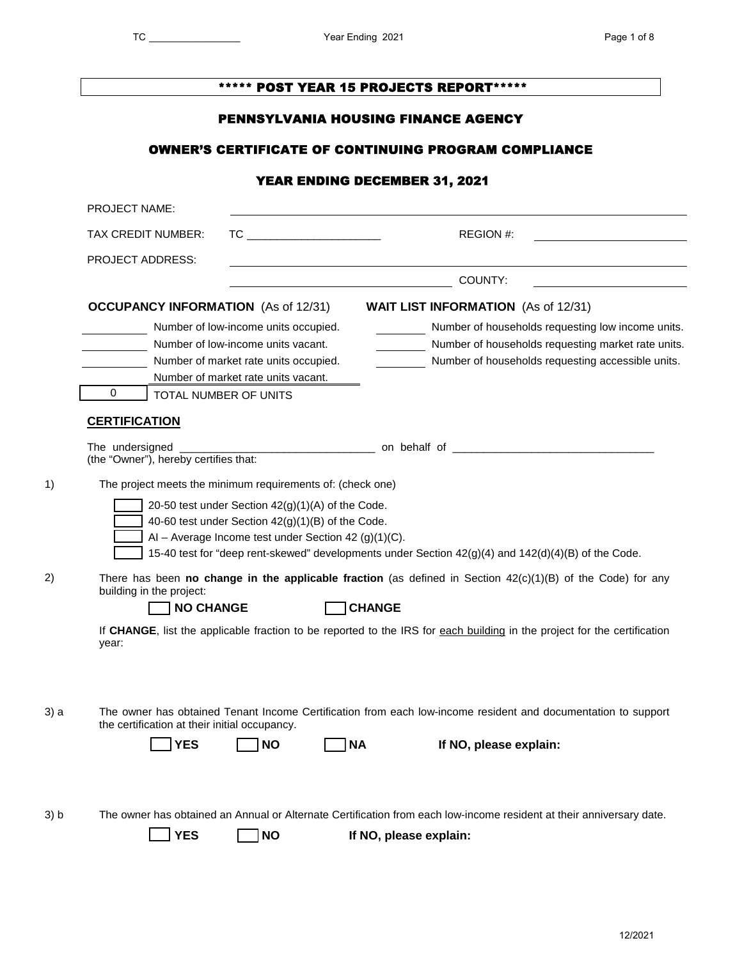|                                                            |                                                                                                        | ****** POST YEAR 15 PROJECTS REPORT*****                                                                                 |
|------------------------------------------------------------|--------------------------------------------------------------------------------------------------------|--------------------------------------------------------------------------------------------------------------------------|
|                                                            |                                                                                                        | <b>PENNSYLVANIA HOUSING FINANCE AGENCY</b>                                                                               |
|                                                            |                                                                                                        | <b>OWNER'S CERTIFICATE OF CONTINUING PROGRAM COMPLIANCE</b>                                                              |
|                                                            |                                                                                                        | YEAR ENDING DECEMBER 31, 2021                                                                                            |
| PROJECT NAME:                                              |                                                                                                        |                                                                                                                          |
| TAX CREDIT NUMBER:                                         | $TC \begin{tabular}{@{}c@{}} \quad \quad & \quad \quad & \quad \quad \\ \hline \end{tabular}$          | REGION #:                                                                                                                |
| <b>PROJECT ADDRESS:</b>                                    |                                                                                                        |                                                                                                                          |
|                                                            |                                                                                                        | COUNTY:                                                                                                                  |
| <b>OCCUPANCY INFORMATION</b> (As of 12/31)                 |                                                                                                        | <b>WAIT LIST INFORMATION</b> (As of 12/31)                                                                               |
|                                                            | Number of low-income units occupied.                                                                   | Number of households requesting low income units.                                                                        |
| Number of low-income units vacant.                         | Number of market rate units occupied.                                                                  | Number of households requesting market rate units.<br>Number of households requesting accessible units.                  |
|                                                            | Number of market rate units vacant.                                                                    |                                                                                                                          |
| $\mathbf{0}$<br>TOTAL NUMBER OF UNITS                      |                                                                                                        |                                                                                                                          |
| <b>CERTIFICATION</b>                                       |                                                                                                        |                                                                                                                          |
| The undersigned                                            |                                                                                                        |                                                                                                                          |
| (the "Owner"), hereby certifies that:                      |                                                                                                        |                                                                                                                          |
| The project meets the minimum requirements of: (check one) |                                                                                                        |                                                                                                                          |
|                                                            | 20-50 test under Section 42(g)(1)(A) of the Code.<br>40-60 test under Section 42(g)(1)(B) of the Code. |                                                                                                                          |
|                                                            | Al - Average Income test under Section 42 (g)(1)(C).                                                   |                                                                                                                          |
|                                                            |                                                                                                        | 15-40 test for "deep rent-skewed" developments under Section 42(g)(4) and 142(d)(4)(B) of the Code.                      |
| building in the project:                                   |                                                                                                        | There has been no change in the applicable fraction (as defined in Section $42(c)(1)(B)$ of the Code) for any            |
| <b>NO CHANGE</b>                                           |                                                                                                        | <b>CHANGE</b>                                                                                                            |
| year:                                                      |                                                                                                        | If CHANGE, list the applicable fraction to be reported to the IRS for each building in the project for the certification |
|                                                            |                                                                                                        |                                                                                                                          |
| the certification at their initial occupancy.              |                                                                                                        | The owner has obtained Tenant Income Certification from each low-income resident and documentation to support            |
| <b>YES</b>                                                 | <b>NO</b>                                                                                              | <b>NA</b><br>If NO, please explain:                                                                                      |
|                                                            |                                                                                                        |                                                                                                                          |
|                                                            |                                                                                                        | The owner has obtained an Annual or Alternate Certification from each low-income resident at their anniversary date.     |
|                                                            |                                                                                                        |                                                                                                                          |
| <b>YES</b>                                                 | <b>NO</b>                                                                                              | If NO, please explain:                                                                                                   |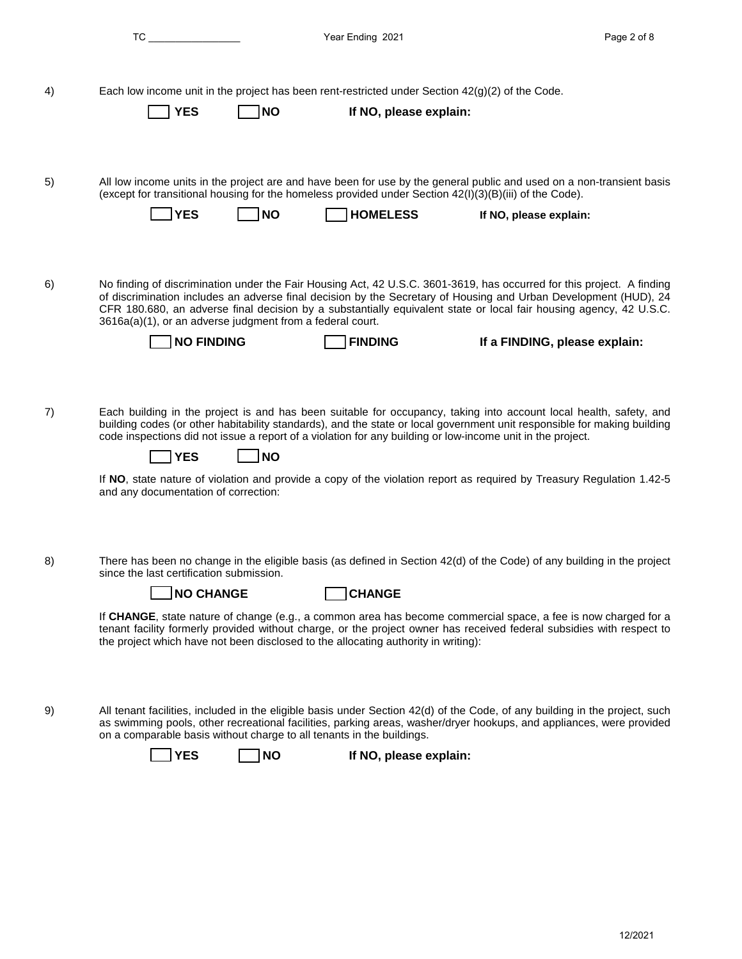|    | $TC \tightharpoonup$                                                                                                                                                                                                                                                                                                                                                                                                                                                                                                                               | Year Ending 2021       | Page 2 of 8                   |
|----|----------------------------------------------------------------------------------------------------------------------------------------------------------------------------------------------------------------------------------------------------------------------------------------------------------------------------------------------------------------------------------------------------------------------------------------------------------------------------------------------------------------------------------------------------|------------------------|-------------------------------|
| 4) | Each low income unit in the project has been rent-restricted under Section $42(g)(2)$ of the Code.<br><b>YES</b><br> NO                                                                                                                                                                                                                                                                                                                                                                                                                            | If NO, please explain: |                               |
| 5) | All low income units in the project are and have been for use by the general public and used on a non-transient basis<br>(except for transitional housing for the homeless provided under Section 42(I)(3)(B)(iii) of the Code).<br><b>YES</b><br>l NO                                                                                                                                                                                                                                                                                             | <b>HOMELESS</b>        | If NO, please explain:        |
| 6) | No finding of discrimination under the Fair Housing Act, 42 U.S.C. 3601-3619, has occurred for this project. A finding<br>of discrimination includes an adverse final decision by the Secretary of Housing and Urban Development (HUD), 24<br>CFR 180.680, an adverse final decision by a substantially equivalent state or local fair housing agency, 42 U.S.C.<br>3616a(a)(1), or an adverse judgment from a federal court.<br><b>NO FINDING</b>                                                                                                 | <b>FINDING</b>         | If a FINDING, please explain: |
| 7) | Each building in the project is and has been suitable for occupancy, taking into account local health, safety, and<br>building codes (or other habitability standards), and the state or local government unit responsible for making building<br>code inspections did not issue a report of a violation for any building or low-income unit in the project.<br>∣NO<br><b>YES</b><br>If NO, state nature of violation and provide a copy of the violation report as required by Treasury Regulation 1.42-5<br>and any documentation of correction: |                        |                               |
| 8) | There has been no change in the eligible basis (as defined in Section 42(d) of the Code) of any building in the project<br>since the last certification submission.<br><b>NO CHANGE</b><br>If CHANGE, state nature of change (e.g., a common area has become commercial space, a fee is now charged for a<br>tenant facility formerly provided without charge, or the project owner has received federal subsidies with respect to<br>the project which have not been disclosed to the allocating authority in writing):                           | <b>CHANGE</b>          |                               |
| 9) | All tenant facilities, included in the eligible basis under Section 42(d) of the Code, of any building in the project, such<br>as swimming pools, other recreational facilities, parking areas, washer/dryer hookups, and appliances, were provided<br>on a comparable basis without charge to all tenants in the buildings.<br><b>YES</b><br><b>NO</b>                                                                                                                                                                                            | If NO, please explain: |                               |
|    |                                                                                                                                                                                                                                                                                                                                                                                                                                                                                                                                                    |                        |                               |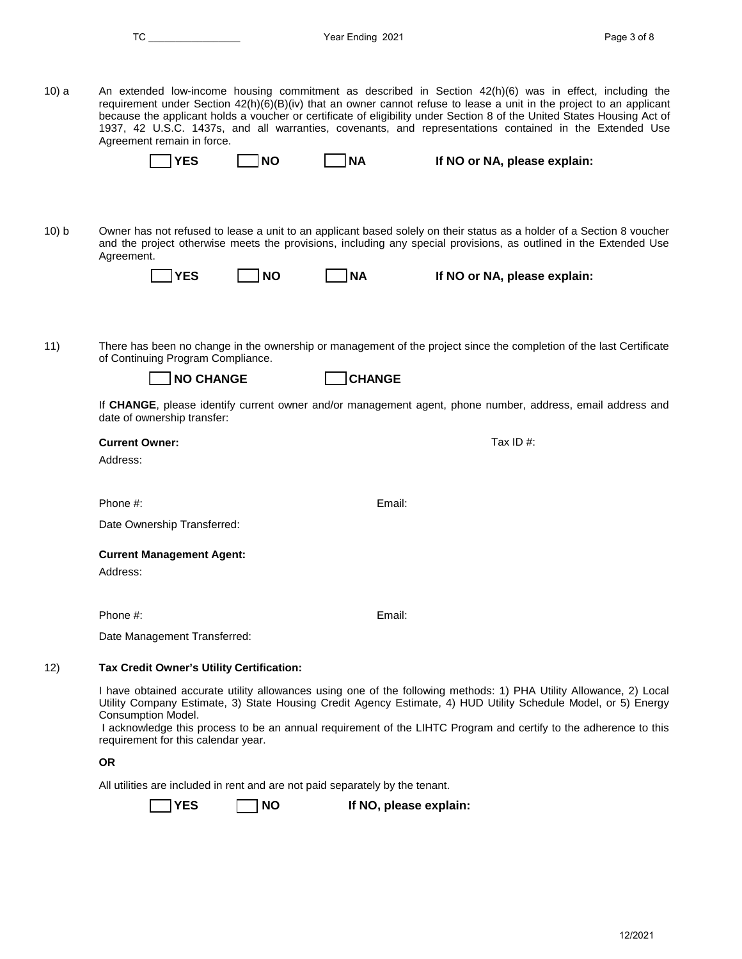|       | TC and the state of the state of the state of the state of the state of the state of the state of the state of the state of the state of the state of the state of the state of the state of the state of the state of the sta |           | Year Ending 2021 |                                                                                                                                                                                                                                                                                                                                                                                                                                                                       | Page 3 of 8 |
|-------|--------------------------------------------------------------------------------------------------------------------------------------------------------------------------------------------------------------------------------|-----------|------------------|-----------------------------------------------------------------------------------------------------------------------------------------------------------------------------------------------------------------------------------------------------------------------------------------------------------------------------------------------------------------------------------------------------------------------------------------------------------------------|-------------|
| 10) a | Agreement remain in force.                                                                                                                                                                                                     |           |                  | An extended low-income housing commitment as described in Section 42(h)(6) was in effect, including the<br>requirement under Section 42(h)(6)(B)(iv) that an owner cannot refuse to lease a unit in the project to an applicant<br>because the applicant holds a voucher or certificate of eligibility under Section 8 of the United States Housing Act of<br>1937, 42 U.S.C. 1437s, and all warranties, covenants, and representations contained in the Extended Use |             |
|       | <b>YES</b>                                                                                                                                                                                                                     | <b>NO</b> | ∫NA              | If NO or NA, please explain:                                                                                                                                                                                                                                                                                                                                                                                                                                          |             |
| 10) b | Agreement.                                                                                                                                                                                                                     |           |                  | Owner has not refused to lease a unit to an applicant based solely on their status as a holder of a Section 8 voucher<br>and the project otherwise meets the provisions, including any special provisions, as outlined in the Extended Use                                                                                                                                                                                                                            |             |
|       | <b>YES</b>                                                                                                                                                                                                                     | <b>NO</b> | ∣NA              | If NO or NA, please explain:                                                                                                                                                                                                                                                                                                                                                                                                                                          |             |
| 11)   | of Continuing Program Compliance.<br><b>NO CHANGE</b>                                                                                                                                                                          |           | <b>CHANGE</b>    | There has been no change in the ownership or management of the project since the completion of the last Certificate                                                                                                                                                                                                                                                                                                                                                   |             |
|       | date of ownership transfer:                                                                                                                                                                                                    |           |                  | If CHANGE, please identify current owner and/or management agent, phone number, address, email address and                                                                                                                                                                                                                                                                                                                                                            |             |
|       | <b>Current Owner:</b><br>Address:                                                                                                                                                                                              |           |                  | Tax ID#:                                                                                                                                                                                                                                                                                                                                                                                                                                                              |             |
|       | Phone #:                                                                                                                                                                                                                       |           | Email:           |                                                                                                                                                                                                                                                                                                                                                                                                                                                                       |             |
|       | Date Ownership Transferred:                                                                                                                                                                                                    |           |                  |                                                                                                                                                                                                                                                                                                                                                                                                                                                                       |             |
|       | <b>Current Management Agent:</b><br>Address:                                                                                                                                                                                   |           |                  |                                                                                                                                                                                                                                                                                                                                                                                                                                                                       |             |
|       | Phone #:                                                                                                                                                                                                                       |           | Email:           |                                                                                                                                                                                                                                                                                                                                                                                                                                                                       |             |
|       | Date Management Transferred:                                                                                                                                                                                                   |           |                  |                                                                                                                                                                                                                                                                                                                                                                                                                                                                       |             |
| 12)   | Tax Credit Owner's Utility Certification:                                                                                                                                                                                      |           |                  |                                                                                                                                                                                                                                                                                                                                                                                                                                                                       |             |
|       | Consumption Model.<br>requirement for this calendar year.                                                                                                                                                                      |           |                  | I have obtained accurate utility allowances using one of the following methods: 1) PHA Utility Allowance, 2) Local<br>Utility Company Estimate, 3) State Housing Credit Agency Estimate, 4) HUD Utility Schedule Model, or 5) Energy<br>I acknowledge this process to be an annual requirement of the LIHTC Program and certify to the adherence to this                                                                                                              |             |
|       | <b>OR</b>                                                                                                                                                                                                                      |           |                  |                                                                                                                                                                                                                                                                                                                                                                                                                                                                       |             |
|       | All utilities are included in rent and are not paid separately by the tenant.                                                                                                                                                  |           |                  |                                                                                                                                                                                                                                                                                                                                                                                                                                                                       |             |
|       | <b>YES</b>                                                                                                                                                                                                                     | <b>NO</b> |                  | If NO, please explain:                                                                                                                                                                                                                                                                                                                                                                                                                                                |             |
|       |                                                                                                                                                                                                                                |           |                  |                                                                                                                                                                                                                                                                                                                                                                                                                                                                       |             |
|       |                                                                                                                                                                                                                                |           |                  |                                                                                                                                                                                                                                                                                                                                                                                                                                                                       |             |
|       |                                                                                                                                                                                                                                |           |                  |                                                                                                                                                                                                                                                                                                                                                                                                                                                                       |             |
|       |                                                                                                                                                                                                                                |           |                  |                                                                                                                                                                                                                                                                                                                                                                                                                                                                       |             |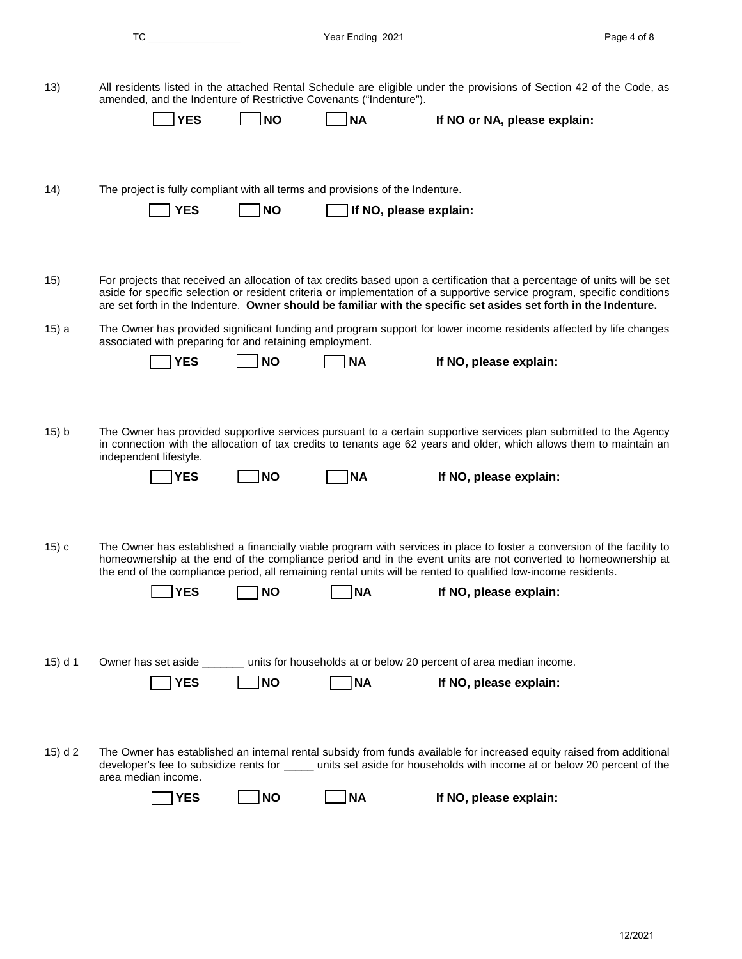| v<br>× |  |  |  |
|--------|--|--|--|
|        |  |  |  |

| (13) | amended, and the Indenture of Restrictive Covenants ("Indenture"). |            |           | All residents listed in the attached Rental Schedule are eligible under the provisions of Section 42 of the Code, as |  |
|------|--------------------------------------------------------------------|------------|-----------|----------------------------------------------------------------------------------------------------------------------|--|
|      | <b>TYES</b>                                                        | <b>INO</b> | $\neg$ NA | If NO or NA, please explain:                                                                                         |  |

14) The project is fully compliant with all terms and provisions of the Indenture.

**The NO, please explain:** 

15) For projects that received an allocation of tax credits based upon a certification that a percentage of units will be set aside for specific selection or resident criteria or implementation of a supportive service program, specific conditions are set forth in the Indenture. **Owner should be familiar with the specific set asides set forth in the Indenture.**

15) a The Owner has provided significant funding and program support for lower income residents affected by life changes associated with preparing for and retaining employment.

| l NO<br><b>IYES</b> | ' NA | If NO, please explain: |
|---------------------|------|------------------------|
|---------------------|------|------------------------|

15) b The Owner has provided supportive services pursuant to a certain supportive services plan submitted to the Agency in connection with the allocation of tax credits to tenants age 62 years and older, which allows them to maintain an independent lifestyle.

| ۹O |  |  |
|----|--|--|
|    |  |  |

| YES | <b>INO</b> | <b>INA</b> | If NO, please explain: |
|-----|------------|------------|------------------------|
|     |            |            |                        |

15) c The Owner has established a financially viable program with services in place to foster a conversion of the facility to homeownership at the end of the compliance period and in the event units are not converted to homeownership at the end of the compliance period, all remaining rental units will be rented to qualified low-income residents.

| <b>IYES</b> | l NO | <b>INA</b> | If NO, please explain: |
|-------------|------|------------|------------------------|

15) d 1 Owner has set aside \_\_\_\_\_\_\_ units for households at or below 20 percent of area median income.

| ۰,<br>v |  |
|---------|--|
|         |  |

NO **NA** If NO, please explain:

15) d 2 The Owner has established an internal rental subsidy from funds available for increased equity raised from additional developer's fee to subsidize rents for \_\_\_\_\_ units set aside for households with income at or below 20 percent of the area median income. To the Characteristics in the statistics of the Statistics of Statistics of Statistics of Statistics of Statistics of Statistics of Statistics of Statistics of Statistics of Statistics of Statistics of Statistics of Apple

YES NO NA If NO, please explain: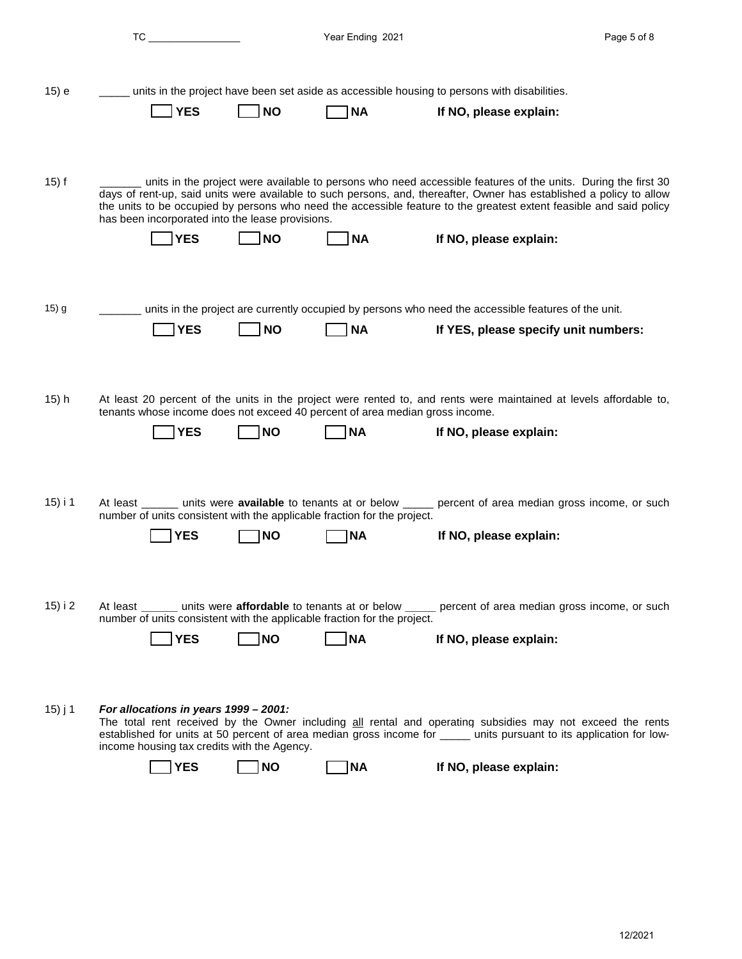|         | TC and the contract of the contract of the contract of the contract of the contract of the contract of the contract of the contract of the contract of the contract of the contract of the contract of the contract of the con |           | Year Ending 2021 |                                                                                                                                                                                                                                                                                                                                                                                        | Page 5 of 8 |
|---------|--------------------------------------------------------------------------------------------------------------------------------------------------------------------------------------------------------------------------------|-----------|------------------|----------------------------------------------------------------------------------------------------------------------------------------------------------------------------------------------------------------------------------------------------------------------------------------------------------------------------------------------------------------------------------------|-------------|
| 15) e   | <b>YES</b>                                                                                                                                                                                                                     | NO        | <b>NA</b>        | units in the project have been set aside as accessible housing to persons with disabilities.<br>If NO, please explain:                                                                                                                                                                                                                                                                 |             |
| $15)$ f | has been incorporated into the lease provisions.<br><b>YES</b>                                                                                                                                                                 | <b>NO</b> | <b>NA</b>        | units in the project were available to persons who need accessible features of the units. During the first 30<br>days of rent-up, said units were available to such persons, and, thereafter, Owner has established a policy to allow<br>the units to be occupied by persons who need the accessible feature to the greatest extent feasible and said policy<br>If NO, please explain: |             |
| $15)$ g | <b>YES</b>                                                                                                                                                                                                                     | <b>NO</b> | <b>NA</b>        | units in the project are currently occupied by persons who need the accessible features of the unit.<br>If YES, please specify unit numbers:                                                                                                                                                                                                                                           |             |
| 15) h   | tenants whose income does not exceed 40 percent of area median gross income.<br><b>YES</b>                                                                                                                                     | <b>NO</b> | <b>NA</b>        | At least 20 percent of the units in the project were rented to, and rents were maintained at levels affordable to,<br>If NO, please explain:                                                                                                                                                                                                                                           |             |
| 15) i 1 | number of units consistent with the applicable fraction for the project.<br>YES                                                                                                                                                | <b>NO</b> | ΝA               | At least _______ units were <b>available</b> to tenants at or below _____ percent of area median gross income, or such<br>If NO, please explain:                                                                                                                                                                                                                                       |             |
| 15) i 2 | number of units consistent with the applicable fraction for the project.<br><b>YES</b>                                                                                                                                         | NO        | <b>NA</b>        | At least _______ units were affordable to tenants at or below _____ percent of area median gross income, or such<br>If NO, please explain:                                                                                                                                                                                                                                             |             |
| 15) j 1 | For allocations in years 1999 - 2001:<br>income housing tax credits with the Agency.<br><b>YES</b>                                                                                                                             | <b>NO</b> | <b>NA</b>        | The total rent received by the Owner including all rental and operating subsidies may not exceed the rents<br>established for units at 50 percent of area median gross income for _____ units pursuant to its application for low-<br>If NO, please explain:                                                                                                                           |             |
|         |                                                                                                                                                                                                                                |           |                  |                                                                                                                                                                                                                                                                                                                                                                                        |             |
|         |                                                                                                                                                                                                                                |           |                  |                                                                                                                                                                                                                                                                                                                                                                                        |             |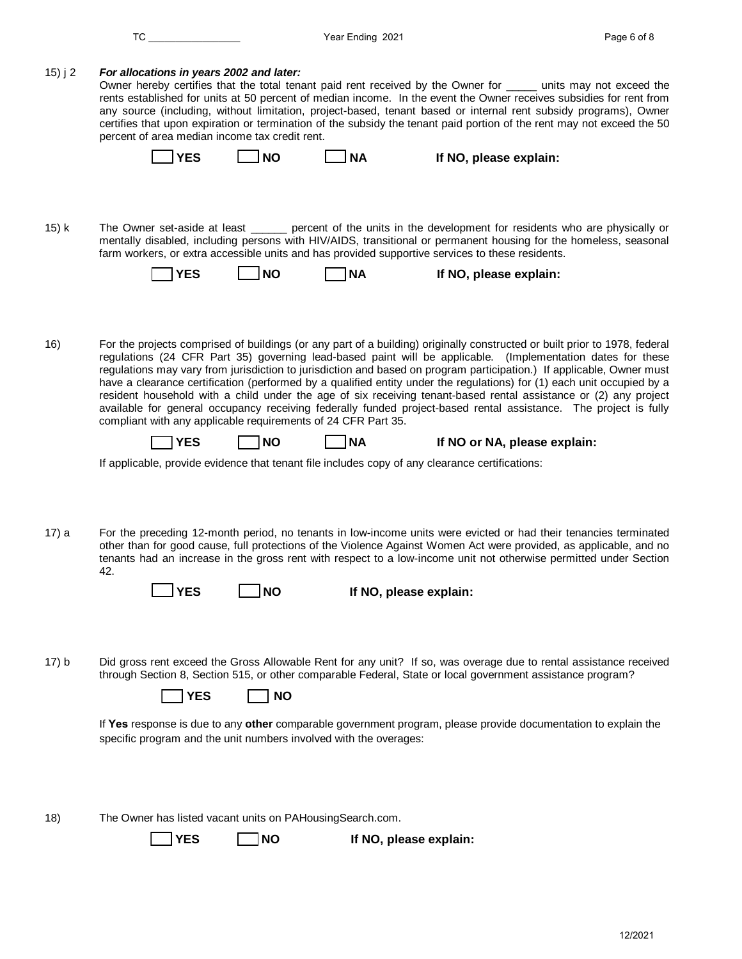|         | TC                                                                                                                                                                                  |           | Year Ending 2021       |                              | Page 6 of 8                                                                                                                                                                                                                                                                                                                                                                                                                                                                                                                                                                                                                                                                                                                          |
|---------|-------------------------------------------------------------------------------------------------------------------------------------------------------------------------------------|-----------|------------------------|------------------------------|--------------------------------------------------------------------------------------------------------------------------------------------------------------------------------------------------------------------------------------------------------------------------------------------------------------------------------------------------------------------------------------------------------------------------------------------------------------------------------------------------------------------------------------------------------------------------------------------------------------------------------------------------------------------------------------------------------------------------------------|
| 15) j 2 | For allocations in years 2002 and later:<br>percent of area median income tax credit rent.                                                                                          |           |                        |                              | Owner hereby certifies that the total tenant paid rent received by the Owner for ______ units may not exceed the<br>rents established for units at 50 percent of median income. In the event the Owner receives subsidies for rent from<br>any source (including, without limitation, project-based, tenant based or internal rent subsidy programs), Owner<br>certifies that upon expiration or termination of the subsidy the tenant paid portion of the rent may not exceed the 50                                                                                                                                                                                                                                                |
|         | <b>YES</b>                                                                                                                                                                          | <b>NO</b> | <b>NA</b>              | If NO, please explain:       |                                                                                                                                                                                                                                                                                                                                                                                                                                                                                                                                                                                                                                                                                                                                      |
| 15) k   |                                                                                                                                                                                     |           |                        |                              | The Owner set-aside at least _______ percent of the units in the development for residents who are physically or<br>mentally disabled, including persons with HIV/AIDS, transitional or permanent housing for the homeless, seasonal                                                                                                                                                                                                                                                                                                                                                                                                                                                                                                 |
|         | farm workers, or extra accessible units and has provided supportive services to these residents.                                                                                    |           |                        |                              |                                                                                                                                                                                                                                                                                                                                                                                                                                                                                                                                                                                                                                                                                                                                      |
|         | <b>YES</b>                                                                                                                                                                          | <b>NO</b> | <b>NA</b>              | If NO, please explain:       |                                                                                                                                                                                                                                                                                                                                                                                                                                                                                                                                                                                                                                                                                                                                      |
|         |                                                                                                                                                                                     |           |                        |                              |                                                                                                                                                                                                                                                                                                                                                                                                                                                                                                                                                                                                                                                                                                                                      |
| 16)     | compliant with any applicable requirements of 24 CFR Part 35.                                                                                                                       |           |                        |                              | For the projects comprised of buildings (or any part of a building) originally constructed or built prior to 1978, federal<br>regulations (24 CFR Part 35) governing lead-based paint will be applicable. (Implementation dates for these<br>regulations may vary from jurisdiction to jurisdiction and based on program participation.) If applicable, Owner must<br>have a clearance certification (performed by a qualified entity under the regulations) for (1) each unit occupied by a<br>resident household with a child under the age of six receiving tenant-based rental assistance or (2) any project<br>available for general occupancy receiving federally funded project-based rental assistance. The project is fully |
|         | <b>YES</b>                                                                                                                                                                          | <b>NO</b> | <b>NA</b>              | If NO or NA, please explain: |                                                                                                                                                                                                                                                                                                                                                                                                                                                                                                                                                                                                                                                                                                                                      |
| 17) a   | If applicable, provide evidence that tenant file includes copy of any clearance certifications:                                                                                     |           |                        |                              | For the preceding 12-month period, no tenants in low-income units were evicted or had their tenancies terminated<br>other than for good cause, full protections of the Violence Against Women Act were provided, as applicable, and no                                                                                                                                                                                                                                                                                                                                                                                                                                                                                               |
|         | 42.                                                                                                                                                                                 |           |                        |                              | tenants had an increase in the gross rent with respect to a low-income unit not otherwise permitted under Section                                                                                                                                                                                                                                                                                                                                                                                                                                                                                                                                                                                                                    |
|         | <b>YES</b>                                                                                                                                                                          | <b>NO</b> | If NO, please explain: |                              |                                                                                                                                                                                                                                                                                                                                                                                                                                                                                                                                                                                                                                                                                                                                      |
|         |                                                                                                                                                                                     |           |                        |                              |                                                                                                                                                                                                                                                                                                                                                                                                                                                                                                                                                                                                                                                                                                                                      |
| 17) b   | through Section 8, Section 515, or other comparable Federal, State or local government assistance program?<br><b>YES</b>                                                            | <b>NO</b> |                        |                              | Did gross rent exceed the Gross Allowable Rent for any unit? If so, was overage due to rental assistance received                                                                                                                                                                                                                                                                                                                                                                                                                                                                                                                                                                                                                    |
|         | If Yes response is due to any other comparable government program, please provide documentation to explain the<br>specific program and the unit numbers involved with the overages: |           |                        |                              |                                                                                                                                                                                                                                                                                                                                                                                                                                                                                                                                                                                                                                                                                                                                      |
| 18)     | The Owner has listed vacant units on PAHousingSearch.com.                                                                                                                           |           |                        |                              |                                                                                                                                                                                                                                                                                                                                                                                                                                                                                                                                                                                                                                                                                                                                      |
|         | <b>YES</b>                                                                                                                                                                          | <b>NO</b> | If NO, please explain: |                              |                                                                                                                                                                                                                                                                                                                                                                                                                                                                                                                                                                                                                                                                                                                                      |
|         |                                                                                                                                                                                     |           |                        |                              |                                                                                                                                                                                                                                                                                                                                                                                                                                                                                                                                                                                                                                                                                                                                      |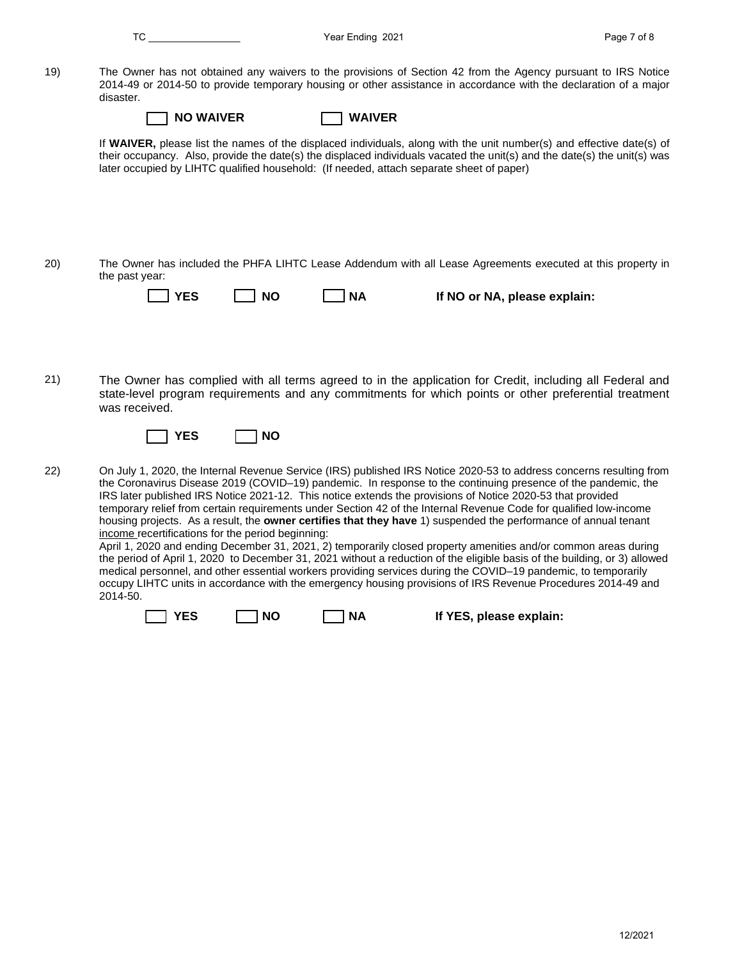|     | TC and the set of the set of the set of the set of the set of the set of the set of the set of the set of the set of the set of the set of the set of the set of the set of the set of the set of the set of the set of the se |           | Year Ending 2021 |                                                                                                                                                                                                                                                                                                                                                                                                                                                                                                                                                                                                                                                                                                                                                                                                                                                                                                                                                                                                                                                                              | Page 7 of 8 |
|-----|--------------------------------------------------------------------------------------------------------------------------------------------------------------------------------------------------------------------------------|-----------|------------------|------------------------------------------------------------------------------------------------------------------------------------------------------------------------------------------------------------------------------------------------------------------------------------------------------------------------------------------------------------------------------------------------------------------------------------------------------------------------------------------------------------------------------------------------------------------------------------------------------------------------------------------------------------------------------------------------------------------------------------------------------------------------------------------------------------------------------------------------------------------------------------------------------------------------------------------------------------------------------------------------------------------------------------------------------------------------------|-------------|
| 19) | disaster.<br><b>NO WAIVER</b>                                                                                                                                                                                                  |           | <b>WAIVER</b>    | The Owner has not obtained any waivers to the provisions of Section 42 from the Agency pursuant to IRS Notice<br>2014-49 or 2014-50 to provide temporary housing or other assistance in accordance with the declaration of a major<br>If WAIVER, please list the names of the displaced individuals, along with the unit number(s) and effective date(s) of                                                                                                                                                                                                                                                                                                                                                                                                                                                                                                                                                                                                                                                                                                                  |             |
|     | later occupied by LIHTC qualified household: (If needed, attach separate sheet of paper)                                                                                                                                       |           |                  | their occupancy. Also, provide the date(s) the displaced individuals vacated the unit(s) and the date(s) the unit(s) was                                                                                                                                                                                                                                                                                                                                                                                                                                                                                                                                                                                                                                                                                                                                                                                                                                                                                                                                                     |             |
| 20) | the past year:<br><b>YES</b>                                                                                                                                                                                                   | <b>NO</b> | <b>NA</b>        | The Owner has included the PHFA LIHTC Lease Addendum with all Lease Agreements executed at this property in<br>If NO or NA, please explain:                                                                                                                                                                                                                                                                                                                                                                                                                                                                                                                                                                                                                                                                                                                                                                                                                                                                                                                                  |             |
| 21) | was received.<br>YES                                                                                                                                                                                                           | <b>NO</b> |                  | The Owner has complied with all terms agreed to in the application for Credit, including all Federal and<br>state-level program requirements and any commitments for which points or other preferential treatment                                                                                                                                                                                                                                                                                                                                                                                                                                                                                                                                                                                                                                                                                                                                                                                                                                                            |             |
| 22) | income recertifications for the period beginning:<br>2014-50.                                                                                                                                                                  |           |                  | On July 1, 2020, the Internal Revenue Service (IRS) published IRS Notice 2020-53 to address concerns resulting from<br>the Coronavirus Disease 2019 (COVID-19) pandemic. In response to the continuing presence of the pandemic, the<br>IRS later published IRS Notice 2021-12. This notice extends the provisions of Notice 2020-53 that provided<br>temporary relief from certain requirements under Section 42 of the Internal Revenue Code for qualified low-income<br>housing projects. As a result, the owner certifies that they have 1) suspended the performance of annual tenant<br>April 1, 2020 and ending December 31, 2021, 2) temporarily closed property amenities and/or common areas during<br>the period of April 1, 2020 to December 31, 2021 without a reduction of the eligible basis of the building, or 3) allowed<br>medical personnel, and other essential workers providing services during the COVID-19 pandemic, to temporarily<br>occupy LIHTC units in accordance with the emergency housing provisions of IRS Revenue Procedures 2014-49 and |             |
|     | <b>YES</b>                                                                                                                                                                                                                     | NO        | 1 NA             | If YES, please explain:                                                                                                                                                                                                                                                                                                                                                                                                                                                                                                                                                                                                                                                                                                                                                                                                                                                                                                                                                                                                                                                      |             |